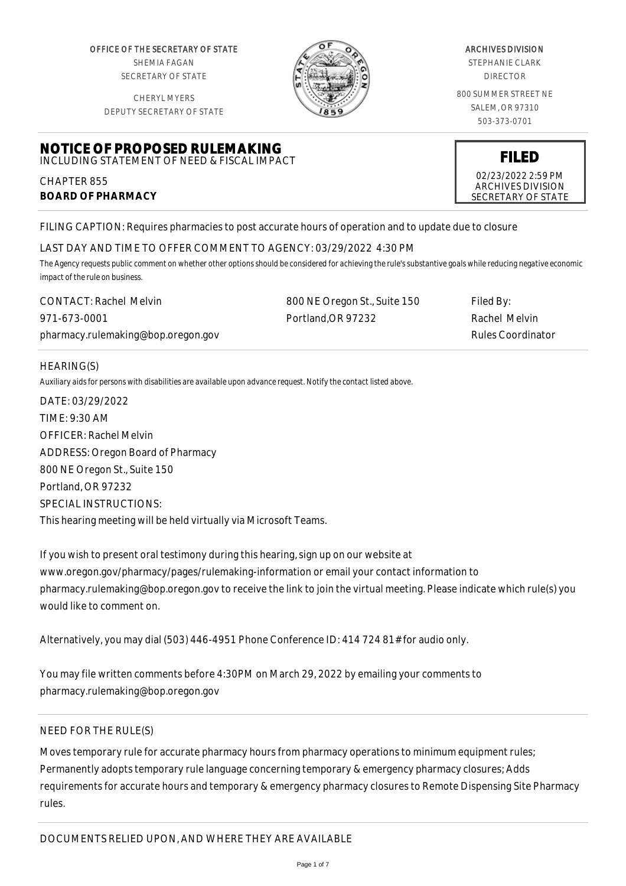OFFICE OF THE SECRETARY OF STATE SHEMIA FAGAN SECRETARY OF STATE

CHERYL MYERS



#### ARCHIVES DIVISION

STEPHANIE CLARK DIRECTOR

800 SUMMER STREET NE SALEM, OR 97310 503-373-0701

> **FILED** 02/23/2022 2:59 PM ARCHIVES DIVISION SECRETARY OF STATE

DEPUTY SECRETARY OF STATE

## **NOTICE OF PROPOSED RULEMAKING** INCLUDING STATEMENT OF NEED & FISCAL IMPACT

CHAPTER 855 **BOARD OF PHARMACY**

FILING CAPTION: Requires pharmacies to post accurate hours of operation and to update due to closure

# LAST DAY AND TIME TO OFFER COMMENT TO AGENCY: 03/29/2022 4:30 PM

*The Agency requests public comment on whether other options should be considered for achieving the rule's substantive goals while reducing negative economic impact of the rule on business.*

| <b>CONTACT: Rachel Melvin</b>      | 800 NE Oregon St., Suite 150 | Filed By:         |
|------------------------------------|------------------------------|-------------------|
| 971-673-0001                       | Portland.OR 97232            | Rachel Melvin     |
| pharmacy.rulemaking@bop.oregon.gov |                              | Rules Coordinator |

## HEARING(S)

*Auxiliary aids for persons with disabilities are available upon advance request. Notify the contact listed above.*

DATE: 03/29/2022 TIME: 9:30 AM OFFICER: Rachel Melvin ADDRESS: Oregon Board of Pharmacy 800 NE Oregon St., Suite 150 Portland, OR 97232 SPECIAL INSTRUCTIONS: This hearing meeting will be held virtually via Microsoft Teams.

If you wish to present oral testimony during this hearing, sign up on our website at www.oregon.gov/pharmacy/pages/rulemaking-information or email your contact information to pharmacy.rulemaking@bop.oregon.gov to receive the link to join the virtual meeting. Please indicate which rule(s) you would like to comment on.

Alternatively, you may dial (503) 446-4951 Phone Conference ID: 414 724 81# for audio only.

You may file written comments before 4:30PM on March 29, 2022 by emailing your comments to pharmacy.rulemaking@bop.oregon.gov

## NEED FOR THE RULE(S)

Moves temporary rule for accurate pharmacy hours from pharmacy operations to minimum equipment rules; Permanently adopts temporary rule language concerning temporary & emergency pharmacy closures; Adds requirements for accurate hours and temporary & emergency pharmacy closures to Remote Dispensing Site Pharmacy rules.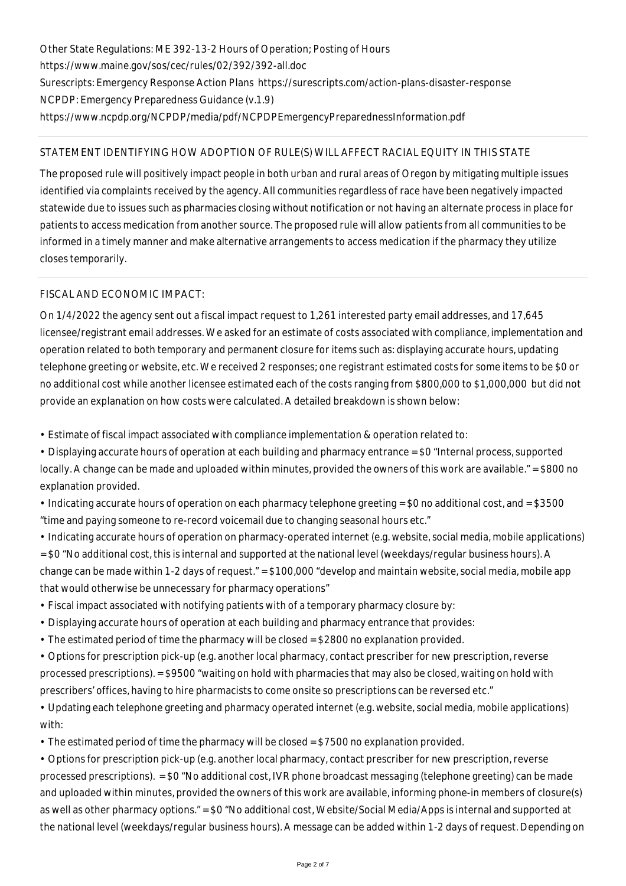Other State Regulations: ME 392-13-2 Hours of Operation; Posting of Hours https://www.maine.gov/sos/cec/rules/02/392/392-all.doc Surescripts: Emergency Response Action Plans https://surescripts.com/action-plans-disaster-response NCPDP: Emergency Preparedness Guidance (v.1.9) https://www.ncpdp.org/NCPDP/media/pdf/NCPDPEmergencyPreparednessInformation.pdf

# STATEMENT IDENTIFYING HOW ADOPTION OF RULE(S) WILL AFFECT RACIAL EQUITY IN THIS STATE

The proposed rule will positively impact people in both urban and rural areas of Oregon by mitigating multiple issues identified via complaints received by the agency. All communities regardless of race have been negatively impacted statewide due to issues such as pharmacies closing without notification or not having an alternate process in place for patients to access medication from another source. The proposed rule will allow patients from all communities to be informed in a timely manner and make alternative arrangements to access medication if the pharmacy they utilize closes temporarily.

# FISCAL AND ECONOMIC IMPACT:

On 1/4/2022 the agency sent out a fiscal impact request to 1,261 interested party email addresses, and 17,645 licensee/registrant email addresses. We asked for an estimate of costs associated with compliance, implementation and operation related to both temporary and permanent closure for items such as: displaying accurate hours, updating telephone greeting or website, etc. We received 2 responses; one registrant estimated costs for some items to be \$0 or no additional cost while another licensee estimated each of the costs ranging from \$800,000 to \$1,000,000 but did not provide an explanation on how costs were calculated. A detailed breakdown is shown below:

• Estimate of fiscal impact associated with compliance implementation & operation related to:

• Displaying accurate hours of operation at each building and pharmacy entrance = \$0 "Internal process, supported locally. A change can be made and uploaded within minutes, provided the owners of this work are available." = \$800 no explanation provided.

• Indicating accurate hours of operation on each pharmacy telephone greeting = \$0 no additional cost, and = \$3500 "time and paying someone to re-record voicemail due to changing seasonal hours etc."

• Indicating accurate hours of operation on pharmacy-operated internet (e.g. website, social media, mobile applications) = \$0 "No additional cost, this is internal and supported at the national level (weekdays/regular business hours). A change can be made within 1-2 days of request." = \$100,000 "develop and maintain website, social media, mobile app that would otherwise be unnecessary for pharmacy operations"

- Fiscal impact associated with notifying patients with of a temporary pharmacy closure by:
- Displaying accurate hours of operation at each building and pharmacy entrance that provides:
- The estimated period of time the pharmacy will be closed = \$2800 no explanation provided.

• Options for prescription pick-up (e.g. another local pharmacy, contact prescriber for new prescription, reverse processed prescriptions). = \$9500 "waiting on hold with pharmacies that may also be closed, waiting on hold with prescribers' offices, having to hire pharmacists to come onsite so prescriptions can be reversed etc."

• Updating each telephone greeting and pharmacy operated internet (e.g. website, social media, mobile applications) with:

• The estimated period of time the pharmacy will be closed = \$7500 no explanation provided.

• Options for prescription pick-up (e.g. another local pharmacy, contact prescriber for new prescription, reverse processed prescriptions). = \$0 "No additional cost, IVR phone broadcast messaging (telephone greeting) can be made and uploaded within minutes, provided the owners of this work are available, informing phone-in members of closure(s) as well as other pharmacy options." = \$0 "No additional cost, Website/Social Media/Apps is internal and supported at the national level (weekdays/regular business hours). A message can be added within 1-2 days of request. Depending on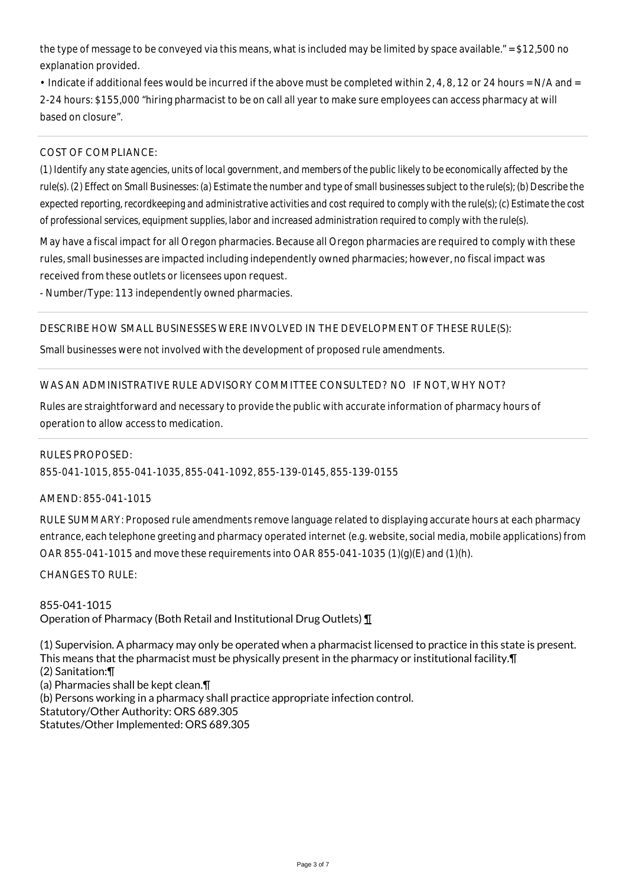the type of message to be conveyed via this means, what is included may be limited by space available." = \$12,500 no explanation provided.

• Indicate if additional fees would be incurred if the above must be completed within 2, 4, 8, 12 or 24 hours = N/A and = 2-24 hours: \$155,000 "hiring pharmacist to be on call all year to make sure employees can access pharmacy at will based on closure".

## COST OF COMPLIANCE:

*(1) Identify any state agencies, units of local government, and members of the public likely to be economically affected by the rule(s). (2) Effect on Small Businesses: (a) Estimate the number and type of small businesses subject to the rule(s); (b) Describe the expected reporting, recordkeeping and administrative activities and cost required to comply with the rule(s); (c) Estimate the cost of professional services, equipment supplies, labor and increased administration required to comply with the rule(s).*

May have a fiscal impact for all Oregon pharmacies. Because all Oregon pharmacies are required to comply with these rules, small businesses are impacted including independently owned pharmacies; however, no fiscal impact was received from these outlets or licensees upon request.

- Number/Type: 113 independently owned pharmacies.

## DESCRIBE HOW SMALL BUSINESSES WERE INVOLVED IN THE DEVELOPMENT OF THESE RULE(S):

Small businesses were not involved with the development of proposed rule amendments.

## WAS AN ADMINISTRATIVE RULE ADVISORY COMMITTEE CONSULTED? NO IF NOT, WHY NOT?

Rules are straightforward and necessary to provide the public with accurate information of pharmacy hours of operation to allow access to medication.

#### RULES PROPOSED:

855-041-1015, 855-041-1035, 855-041-1092, 855-139-0145, 855-139-0155

#### AMEND: 855-041-1015

RULE SUMMARY: Proposed rule amendments remove language related to displaying accurate hours at each pharmacy entrance, each telephone greeting and pharmacy operated internet (e.g. website, social media, mobile applications) from OAR 855-041-1015 and move these requirements into OAR 855-041-1035 (1)(g)(E) and (1)(h).

CHANGES TO RULE:

855-041-1015 Operation of Pharmacy (Both Retail and Institutional Drug Outlets) ¶

(1) Supervision. A pharmacy may only be operated when a pharmacist licensed to practice in this state is present. This means that the pharmacist must be physically present in the pharmacy or institutional facility.¶ (2) Sanitation:¶ (a) Pharmacies shall be kept clean.¶ (b) Persons working in a pharmacy shall practice appropriate infection control. Statutory/Other Authority: ORS 689.305

Statutes/Other Implemented: ORS 689.305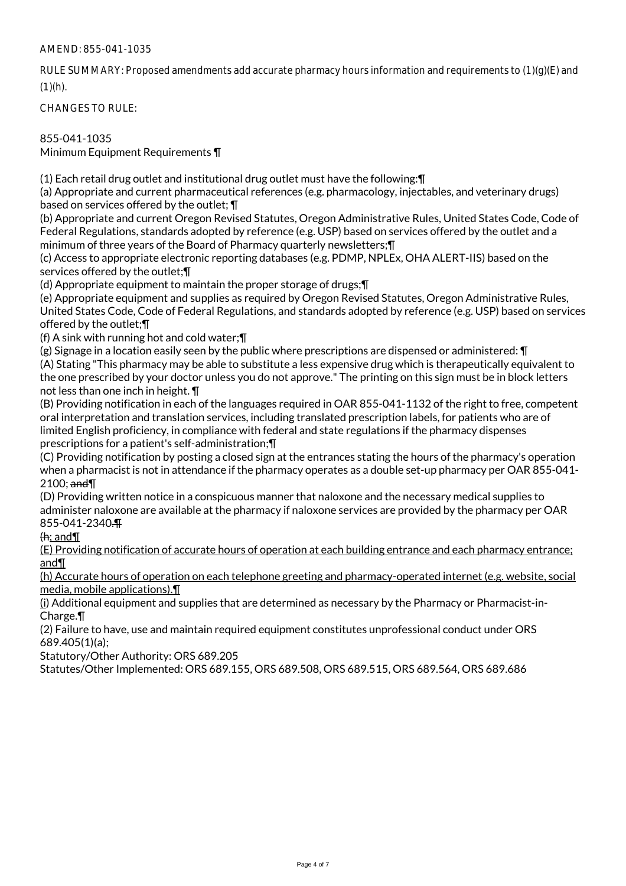## AMEND: 855-041-1035

RULE SUMMARY: Proposed amendments add accurate pharmacy hours information and requirements to (1)(g)(E) and  $(1)(h)$ .

CHANGES TO RULE:

## 855-041-1035

Minimum Equipment Requirements ¶

(1) Each retail drug outlet and institutional drug outlet must have the following:¶

(a) Appropriate and current pharmaceutical references (e.g. pharmacology, injectables, and veterinary drugs) based on services offered by the outlet; ¶

(b) Appropriate and current Oregon Revised Statutes, Oregon Administrative Rules, United States Code, Code of Federal Regulations, standards adopted by reference (e.g. USP) based on services offered by the outlet and a minimum of three years of the Board of Pharmacy quarterly newsletters;¶

(c) Access to appropriate electronic reporting databases (e.g. PDMP, NPLEx, OHA ALERT-IIS) based on the services offered by the outlet;¶

(d) Appropriate equipment to maintain the proper storage of drugs;¶

(e) Appropriate equipment and supplies as required by Oregon Revised Statutes, Oregon Administrative Rules, United States Code, Code of Federal Regulations, and standards adopted by reference (e.g. USP) based on services offered by the outlet;¶

(f) A sink with running hot and cold water;¶

(g) Signage in a location easily seen by the public where prescriptions are dispensed or administered: ¶ (A) Stating "This pharmacy may be able to substitute a less expensive drug which is therapeutically equivalent to the one prescribed by your doctor unless you do not approve." The printing on this sign must be in block letters not less than one inch in height. ¶

(B) Providing notification in each of the languages required in OAR 855-041-1132 of the right to free, competent oral interpretation and translation services, including translated prescription labels, for patients who are of limited English proficiency, in compliance with federal and state regulations if the pharmacy dispenses prescriptions for a patient's self-administration;¶

(C) Providing notification by posting a closed sign at the entrances stating the hours of the pharmacy's operation when a pharmacist is not in attendance if the pharmacy operates as a double set-up pharmacy per OAR 855-041- 2100; and¶

(D) Providing written notice in a conspicuous manner that naloxone and the necessary medical supplies to administer naloxone are available at the pharmacy if naloxone services are provided by the pharmacy per OAR 855-041-2340.¶

 $H$ : and  $\P$ 

(E) Providing notification of accurate hours of operation at each building entrance and each pharmacy entrance; and¶

(h) Accurate hours of operation on each telephone greeting and pharmacy-operated internet (e.g. website, social media, mobile applications).¶

 $(i)$  Additional equipment and supplies that are determined as necessary by the Pharmacy or Pharmacist-in-Charge.¶

(2) Failure to have, use and maintain required equipment constitutes unprofessional conduct under ORS 689.405(1)(a);

Statutory/Other Authority: ORS 689.205

Statutes/Other Implemented: ORS 689.155, ORS 689.508, ORS 689.515, ORS 689.564, ORS 689.686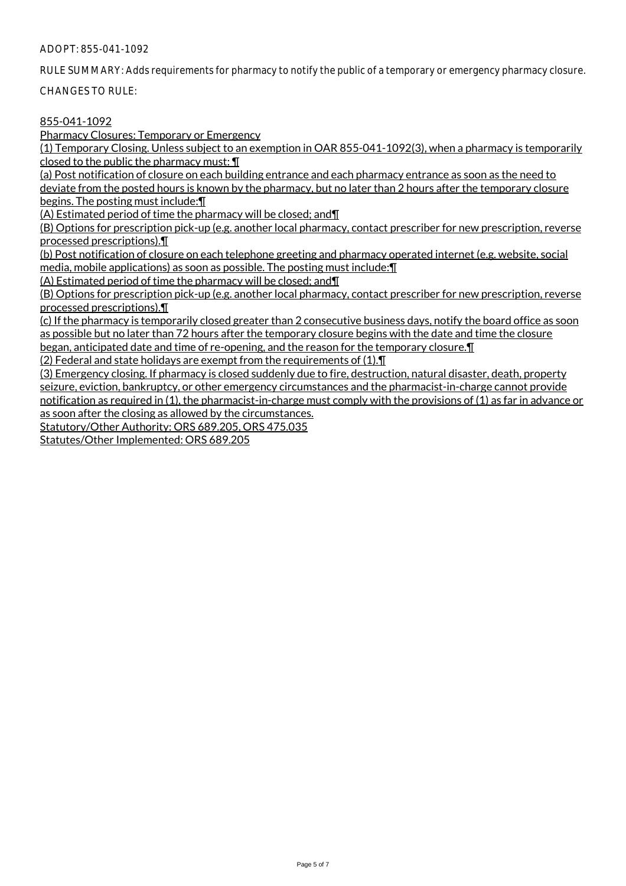#### ADOPT: 855-041-1092

RULE SUMMARY: Adds requirements for pharmacy to notify the public of a temporary or emergency pharmacy closure.

CHANGES TO RULE:

## 855-041-1092

Pharmacy Closures: Temporary or Emergency

(1) Temporary Closing. Unless subject to an exemption in OAR 855-041-1092(3), when a pharmacy is temporarily closed to the public the pharmacy must: ¶

(a) Post notification of closure on each building entrance and each pharmacy entrance as soon as the need to deviate from the posted hours is known by the pharmacy, but no later than 2 hours after the temporary closure begins. The posting must include:¶

(A) Estimated period of time the pharmacy will be closed; and¶

(B) Options for prescription pick-up (e.g. another local pharmacy, contact prescriber for new prescription, reverse processed prescriptions).¶

(b) Post notification of closure on each telephone greeting and pharmacy operated internet (e.g. website, social media, mobile applications) as soon as possible. The posting must include:¶

(A) Estimated period of time the pharmacy will be closed; and¶

(B) Options for prescription pick-up (e.g. another local pharmacy, contact prescriber for new prescription, reverse processed prescriptions).¶

(c) If the pharmacy is temporarily closed greater than 2 consecutive business days, notify the board office as soon as possible but no later than 72 hours after the temporary closure begins with the date and time the closure began, anticipated date and time of re-opening, and the reason for the temporary closure.¶

(2) Federal and state holidays are exempt from the requirements of (1).¶

(3) Emergency closing. If pharmacy is closed suddenly due to fire, destruction, natural disaster, death, property seizure, eviction, bankruptcy, or other emergency circumstances and the pharmacist-in-charge cannot provide notification as required in (1), the pharmacist-in-charge must comply with the provisions of (1) as far in advance or as soon after the closing as allowed by the circumstances.

Statutory/Other Authority: ORS 689.205, ORS 475.035

Statutes/Other Implemented: ORS 689.205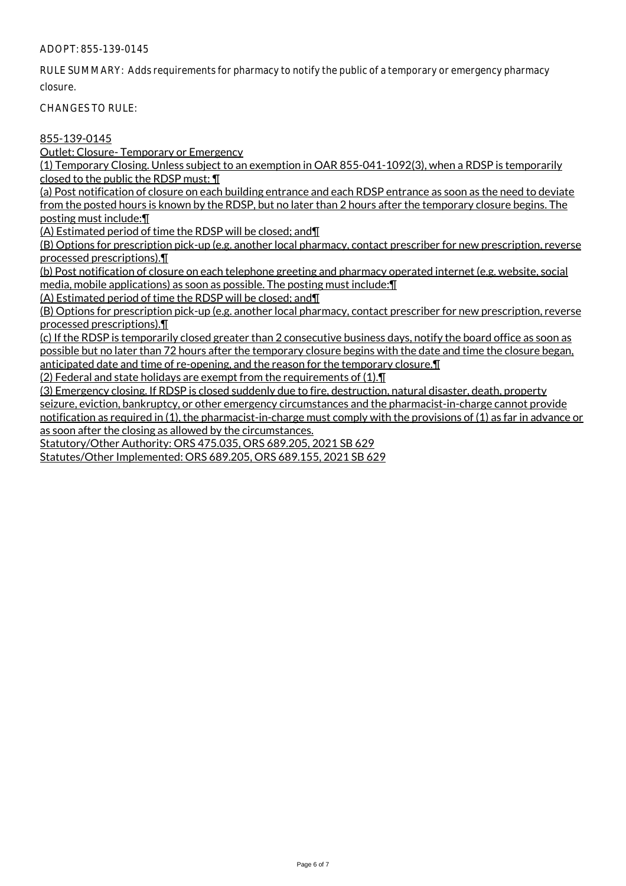ADOPT: 855-139-0145

RULE SUMMARY: Adds requirements for pharmacy to notify the public of a temporary or emergency pharmacy closure.

CHANGES TO RULE:

## 855-139-0145

Outlet: Closure- Temporary or Emergency

(1) Temporary Closing. Unless subject to an exemption in OAR 855-041-1092(3), when a RDSP is temporarily closed to the public the RDSP must: ¶

(a) Post notification of closure on each building entrance and each RDSP entrance as soon as the need to deviate from the posted hours is known by the RDSP, but no later than 2 hours after the temporary closure begins. The

posting must include:¶

(A) Estimated period of time the RDSP will be closed; and¶

(B) Options for prescription pick-up (e.g. another local pharmacy, contact prescriber for new prescription, reverse processed prescriptions).¶

(b) Post notification of closure on each telephone greeting and pharmacy operated internet (e.g. website, social media, mobile applications) as soon as possible. The posting must include:¶

(A) Estimated period of time the RDSP will be closed; and¶

(B) Options for prescription pick-up (e.g. another local pharmacy, contact prescriber for new prescription, reverse processed prescriptions).¶

(c) If the RDSP is temporarily closed greater than 2 consecutive business days, notify the board office as soon as possible but no later than 72 hours after the temporary closure begins with the date and time the closure began, anticipated date and time of re-opening, and the reason for the temporary closure.¶

(2) Federal and state holidays are exempt from the requirements of (1).¶

(3) Emergency closing. If RDSP is closed suddenly due to fire, destruction, natural disaster, death, property seizure, eviction, bankruptcy, or other emergency circumstances and the pharmacist-in-charge cannot provide notification as required in (1), the pharmacist-in-charge must comply with the provisions of (1) as far in advance or as soon after the closing as allowed by the circumstances.

Statutory/Other Authority: ORS 475.035, ORS 689.205, 2021 SB 629

Statutes/Other Implemented: ORS 689.205, ORS 689.155, 2021 SB 629